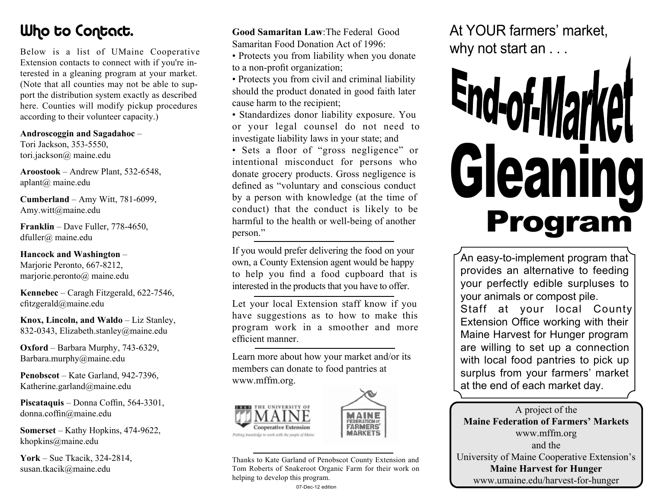**Relow** is a list of IIMai Extension contacts to connect with if you're in*terested in a gleaning program at your market.*  port the distribution system exactly as described here. Counties will modify pickup procedures according to their volunteer capacity.) *according to their volunteer capacity.)*

Androscoggin and Sagadahoc -*Tori Jackson, 353-5550,* tori.jackson@ maine.edu *tori.jackson@ maine.edu*

**Aroostook** – Andrew Plant, 532-6548. aplant<sub>(a)</sub> maine.edu *aplant@ maine.edu*

**Cumberland** – Amy Witt, 781-6099, *Cumberland* – Amy witt@maine edu *Amy.witt@maine.edu*

**Franklin** – Dave Fuller, 778-4650, *Franklin – Dave Fuller, 778-4650, dfuller@ maine.edu*

Hancock and Washington – *Marjorie Peronto, 667-8212,* marjorie.peronto@ maine.edu

*marjorie.peronto@ maine.edu*   $c$ fitzgerald@maine.edu *cfitzgerald@maine.edu*

**Knox. Lincoln. and Waldo – Liz Stanley.** 832-0343, Elizabeth.stanley@maine.edu *832-0343, Elizabeth.stanley@maine.edu*

**Oxford** – Barbara Murphy, 743-6329, *Barbara.murphy@maine.edu Barbara.murphy@maine.edu*

**Penobscot** – Kate Garland, 942-7396, *Katherine.garland@maine.edu Katherine.garland@maine.edu*

Piscataquis – Donna Coffin, 564-3301, donna.coffin@maine.edu *donna.coffin@maine.edu*

**Somerset** – Kathy Hopkins, 474-9622,  $khopkins@maine.edu$ *khopkins@maine.edu* 

**York** – Sue Tkacik, 324-2814, *York – Sue Tkacik, 324-2814, susan.tkacik@maine.edu*

**Good Samaritan Law: The Federal Good** *Gamaritan Food Donation Act of 1996* 

- Protects you from liability when you donate to a non-profit organization;
- Protects you from civil and criminal liability should the product donated in good faith later cause harm to the recipient;
- Standardizes donor liability exposure. You or your legal counsel do not need to *investigate liability laws in your state; and*
- **·** Sets a floor of "gross negligence" or *intentional* misconduct for persons who donate grocery products. Gross negligence is defined as "voluntary and conscious conduct by a person with knowledge (at the time of *b* conduct) that the conduct is likely to be harmful to the health or well-being of another *harmful to the health or well-being of another person."*

If you would prefer delivering the food on your *If* young a County Extension agent would be happy to help you find a food cupboard that is interested in the products that you have to offer. *interested in the products that you have to offer.*

Let your local Extension staff know if you have suggestions as to how to make this program work in a smoother and more *program work in a smoother and more efficient manner.*

Learn more about how your market and/or its members can donate to food pantries at *members can donate to food pantries at www.mffm.org.*





*Thanks to Kate Garland of Penobscot County Extension and*  helping to develop this program.

*helping to develop this program.*

*At YOUR farmers' market,* 

# *why not start an . . .* End-of-Ma Gleaning

provides an alternative to feeding *provides an alternative to feeding your animals or compost pile.* **Staff at your local County Extension Office working with their Maine Harvest for Hunger program** are willing to set up a connection with local food pantries to pick up surplus from your farmers' market at the end of each market day. *at the end of each market day.*

A project of the<br>**Maine Federation of Farmers' Markets** *Maine Federation of Farmers' Markets* and the *University of Maine Cooperative Extension's* **Maine Harvest for Hunger** *Maine Harvest for Hunger www.umaine.edu/harvest-for-hunger*